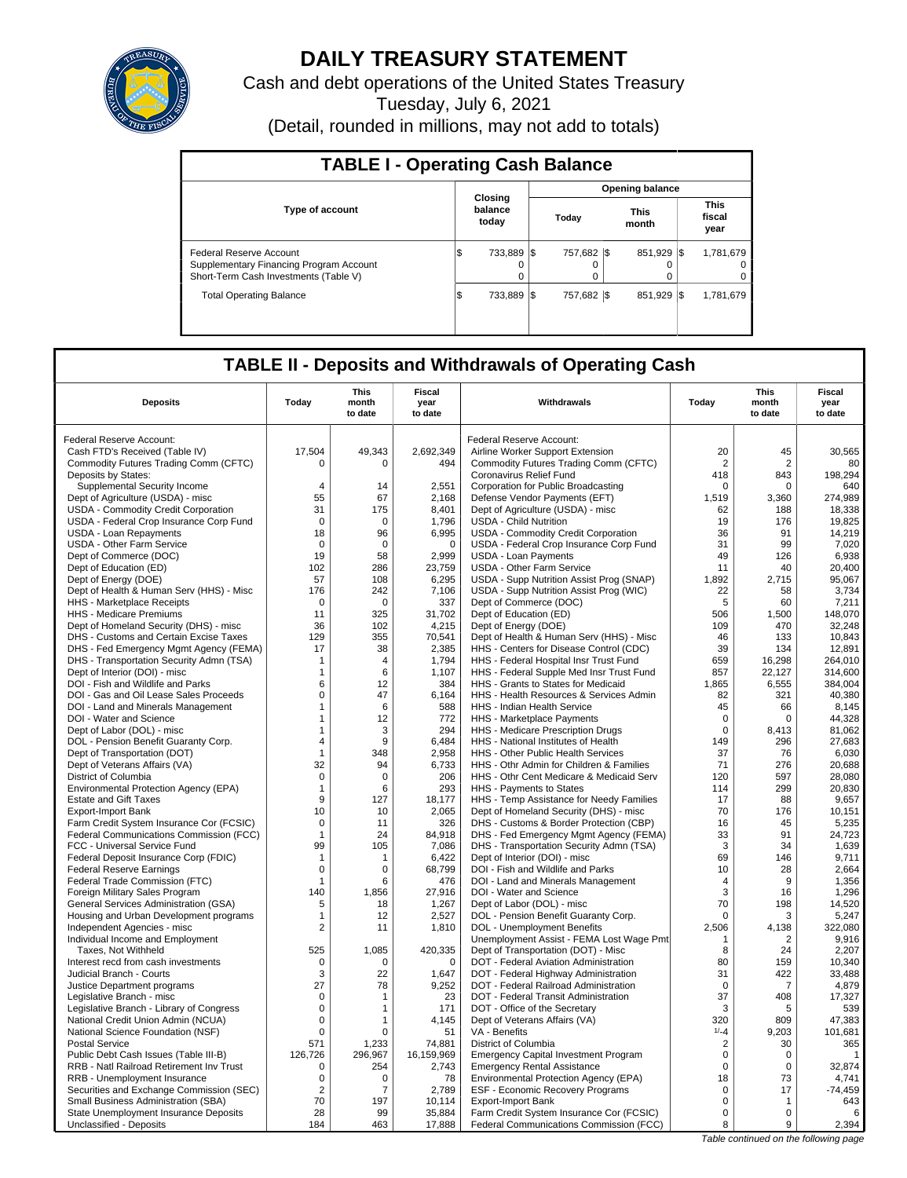

# **DAILY TREASURY STATEMENT**

Cash and debt operations of the United States Treasury

Tuesday, July 6, 2021

(Detail, rounded in millions, may not add to totals)

| <b>TABLE I - Operating Cash Balance</b>                                                                     |     |                             |  |                         |  |                      |  |                               |  |  |  |
|-------------------------------------------------------------------------------------------------------------|-----|-----------------------------|--|-------------------------|--|----------------------|--|-------------------------------|--|--|--|
|                                                                                                             |     |                             |  | <b>Opening balance</b>  |  |                      |  |                               |  |  |  |
| <b>Type of account</b>                                                                                      |     | Closing<br>balance<br>today |  | Today                   |  | <b>This</b><br>month |  | <b>This</b><br>fiscal<br>year |  |  |  |
| Federal Reserve Account<br>Supplementary Financing Program Account<br>Short-Term Cash Investments (Table V) | l\$ | 733.889 \\$<br>0            |  | 757.682 \\$<br>$\Omega$ |  | 851.929 \\$          |  | 1,781,679<br>0<br>0           |  |  |  |
| <b>Total Operating Balance</b>                                                                              | l\$ | 733.889 \\$                 |  | 757.682 \\$             |  | 851.929 \\$          |  | 1.781.679                     |  |  |  |

## **TABLE II - Deposits and Withdrawals of Operating Cash**

| <b>Deposits</b>                                                         | Today                        | This<br>month<br>to date | Fiscal<br>year<br>to date | Withdrawals                                                     | Today             | <b>This</b><br>month<br>to date | <b>Fiscal</b><br>year<br>to date |
|-------------------------------------------------------------------------|------------------------------|--------------------------|---------------------------|-----------------------------------------------------------------|-------------------|---------------------------------|----------------------------------|
| Federal Reserve Account:                                                |                              |                          |                           | Federal Reserve Account:                                        |                   |                                 |                                  |
| Cash FTD's Received (Table IV)                                          | 17,504                       | 49,343                   | 2,692,349                 | Airline Worker Support Extension                                | 20                | 45                              | 30,565                           |
| Commodity Futures Trading Comm (CFTC)                                   | 0                            | $\Omega$                 | 494                       | Commodity Futures Trading Comm (CFTC)                           | 2                 | 2                               | 80                               |
| Deposits by States:                                                     |                              |                          |                           | Coronavirus Relief Fund                                         | 418               | 843                             | 198,294                          |
| Supplemental Security Income                                            | $\overline{4}$               | 14                       | 2.551                     | Corporation for Public Broadcasting                             | 0                 | $\mathbf 0$                     | 640                              |
| Dept of Agriculture (USDA) - misc                                       | 55                           | 67                       | 2,168                     | Defense Vendor Payments (EFT)                                   | 1,519             | 3,360                           | 274,989                          |
| USDA - Commodity Credit Corporation                                     | 31                           | 175                      | 8.401                     | Dept of Agriculture (USDA) - misc                               | 62                | 188                             | 18,338                           |
| USDA - Federal Crop Insurance Corp Fund                                 | $\mathbf 0$                  | $\mathbf 0$              | 1,796                     | <b>USDA - Child Nutrition</b>                                   | 19                | 176                             | 19,825                           |
| <b>USDA - Loan Repayments</b>                                           | 18                           | 96                       | 6,995                     | USDA - Commodity Credit Corporation                             | 36                | 91                              | 14,219                           |
| <b>USDA - Other Farm Service</b>                                        | $\mathbf 0$                  | $\mathbf 0$              | $\mathbf 0$               | USDA - Federal Crop Insurance Corp Fund                         | 31                | 99                              | 7,020                            |
| Dept of Commerce (DOC)                                                  | 19                           | 58                       | 2,999                     | <b>USDA - Loan Payments</b>                                     | 49                | 126                             | 6,938                            |
| Dept of Education (ED)                                                  | 102                          | 286                      | 23,759                    | <b>USDA - Other Farm Service</b>                                | 11                | 40                              | 20,400                           |
| Dept of Energy (DOE)                                                    | 57                           | 108                      | 6,295                     | USDA - Supp Nutrition Assist Prog (SNAP)                        | 1,892             | 2,715                           | 95,067                           |
| Dept of Health & Human Serv (HHS) - Misc                                | 176                          | 242                      | 7,106                     | USDA - Supp Nutrition Assist Prog (WIC)                         | 22                | 58                              | 3,734                            |
| HHS - Marketplace Receipts                                              | 0                            | 0                        | 337                       | Dept of Commerce (DOC)                                          | 5                 | 60                              | 7,211                            |
| HHS - Medicare Premiums                                                 | 11                           | 325                      | 31,702                    | Dept of Education (ED)                                          | 506               | 1,500                           | 148,070                          |
| Dept of Homeland Security (DHS) - misc                                  | 36                           | 102                      | 4,215                     | Dept of Energy (DOE)                                            | 109               | 470                             | 32,248                           |
| DHS - Customs and Certain Excise Taxes                                  | 129                          | 355                      | 70,541                    | Dept of Health & Human Serv (HHS) - Misc                        | 46                | 133                             | 10,843                           |
| DHS - Fed Emergency Mgmt Agency (FEMA)                                  | 17                           | 38                       | 2.385                     | HHS - Centers for Disease Control (CDC)                         | 39                | 134                             | 12.891                           |
| DHS - Transportation Security Admn (TSA)                                | $\mathbf 1$                  | 4                        | 1,794                     | HHS - Federal Hospital Insr Trust Fund                          | 659               | 16,298                          | 264,010                          |
| Dept of Interior (DOI) - misc                                           | $\mathbf{1}$                 | 6                        | 1,107                     | HHS - Federal Supple Med Insr Trust Fund                        | 857               | 22.127                          | 314,600                          |
| DOI - Fish and Wildlife and Parks                                       | 6                            | 12                       | 384                       | HHS - Grants to States for Medicaid                             | 1,865             | 6,555                           | 384,004                          |
| DOI - Gas and Oil Lease Sales Proceeds                                  | $\Omega$                     | 47                       | 6,164                     | HHS - Health Resources & Services Admin                         | 82                | 321                             | 40,380                           |
| DOI - Land and Minerals Management<br>DOI - Water and Science           | $\mathbf{1}$<br>$\mathbf{1}$ | 6<br>12                  | 588<br>772                | HHS - Indian Health Service                                     | 45<br>$\mathbf 0$ | 66<br>$\Omega$                  | 8,145<br>44,328                  |
| Dept of Labor (DOL) - misc                                              | $\mathbf{1}$                 | 3                        | 294                       | HHS - Marketplace Payments<br>HHS - Medicare Prescription Drugs | $\mathbf 0$       | 8,413                           | 81,062                           |
| DOL - Pension Benefit Guaranty Corp.                                    | $\overline{A}$               | 9                        | 6,484                     | HHS - National Institutes of Health                             | 149               | 296                             | 27,683                           |
| Dept of Transportation (DOT)                                            | $\mathbf{1}$                 | 348                      | 2,958                     | HHS - Other Public Health Services                              | 37                | 76                              | 6,030                            |
| Dept of Veterans Affairs (VA)                                           | 32                           | 94                       | 6.733                     | HHS - Othr Admin for Children & Families                        | 71                | 276                             | 20.688                           |
| District of Columbia                                                    | $\mathbf 0$                  | $\mathbf 0$              | 206                       | HHS - Othr Cent Medicare & Medicaid Serv                        | 120               | 597                             | 28,080                           |
| Environmental Protection Agency (EPA)                                   | $\mathbf{1}$                 | 6                        | 293                       | HHS - Payments to States                                        | 114               | 299                             | 20.830                           |
| <b>Estate and Gift Taxes</b>                                            | 9                            | 127                      | 18,177                    | HHS - Temp Assistance for Needy Families                        | 17                | 88                              | 9,657                            |
| <b>Export-Import Bank</b>                                               | 10                           | 10                       | 2,065                     | Dept of Homeland Security (DHS) - misc                          | 70                | 176                             | 10,151                           |
| Farm Credit System Insurance Cor (FCSIC)                                | $\mathbf 0$                  | 11                       | 326                       | DHS - Customs & Border Protection (CBP)                         | 16                | 45                              | 5,235                            |
| Federal Communications Commission (FCC)                                 | $\mathbf{1}$                 | 24                       | 84,918                    | DHS - Fed Emergency Mgmt Agency (FEMA)                          | 33                | 91                              | 24,723                           |
| FCC - Universal Service Fund                                            | 99                           | 105                      | 7,086                     | DHS - Transportation Security Admn (TSA)                        | 3                 | 34                              | 1,639                            |
| Federal Deposit Insurance Corp (FDIC)                                   | $\mathbf{1}$                 | $\mathbf{1}$             | 6,422                     | Dept of Interior (DOI) - misc                                   | 69                | 146                             | 9,711                            |
| <b>Federal Reserve Earnings</b>                                         | $\mathbf 0$                  | 0                        | 68,799                    | DOI - Fish and Wildlife and Parks                               | 10                | 28                              | 2,664                            |
| Federal Trade Commission (FTC)                                          | $\mathbf{1}$                 | 6                        | 476                       | DOI - Land and Minerals Management                              | 4                 | 9                               | 1,356                            |
| Foreign Military Sales Program                                          | 140                          | 1.856                    | 27,916                    | DOI - Water and Science                                         | 3                 | 16                              | 1,296                            |
| General Services Administration (GSA)                                   | 5                            | 18                       | 1,267                     | Dept of Labor (DOL) - misc                                      | 70                | 198                             | 14,520                           |
| Housing and Urban Development programs                                  | $\mathbf{1}$                 | 12                       | 2,527                     | DOL - Pension Benefit Guaranty Corp.                            | $\Omega$          | 3                               | 5,247                            |
| Independent Agencies - misc                                             | $\overline{2}$               | 11                       | 1,810                     | DOL - Unemployment Benefits                                     | 2,506             | 4,138                           | 322,080                          |
| Individual Income and Employment                                        |                              |                          |                           | Unemployment Assist - FEMA Lost Wage Pmt                        | $\mathbf{1}$      | $\overline{2}$                  | 9,916                            |
| Taxes, Not Withheld                                                     | 525                          | 1,085                    | 420,335                   | Dept of Transportation (DOT) - Misc                             | 8                 | 24                              | 2,207                            |
| Interest recd from cash investments                                     | 0                            | 0                        | $\mathbf 0$               | DOT - Federal Aviation Administration                           | 80                | 159                             | 10,340                           |
| Judicial Branch - Courts                                                | 3                            | 22                       | 1,647                     | DOT - Federal Highway Administration                            | 31                | 422                             | 33,488                           |
| Justice Department programs                                             | 27                           | 78                       | 9,252                     | DOT - Federal Railroad Administration                           | $\Omega$          | $\overline{7}$                  | 4,879                            |
| Legislative Branch - misc                                               | 0<br>$\mathbf 0$             | 1<br>1                   | 23<br>171                 | DOT - Federal Transit Administration                            | 37<br>3           | 408<br>5                        | 17,327<br>539                    |
| Legislative Branch - Library of Congress                                | 0                            | 1                        | 4,145                     | DOT - Office of the Secretary<br>Dept of Veterans Affairs (VA)  | 320               | 809                             | 47,383                           |
| National Credit Union Admin (NCUA)<br>National Science Foundation (NSF) | $\mathbf 0$                  | $\Omega$                 | 51                        | VA - Benefits                                                   | $1/-4$            | 9,203                           | 101,681                          |
| <b>Postal Service</b>                                                   | 571                          | 1,233                    | 74,881                    | District of Columbia                                            | 2                 | 30                              | 365                              |
| Public Debt Cash Issues (Table III-B)                                   | 126,726                      | 296.967                  | 16,159,969                | <b>Emergency Capital Investment Program</b>                     | $\mathbf 0$       | 0                               | $\mathbf{1}$                     |
| RRB - Natl Railroad Retirement Inv Trust                                | $\mathbf 0$                  | 254                      | 2,743                     | <b>Emergency Rental Assistance</b>                              | $\mathbf 0$       | 0                               | 32,874                           |
| RRB - Unemployment Insurance                                            | 0                            | $\mathbf 0$              | 78                        | Environmental Protection Agency (EPA)                           | 18                | 73                              | 4,741                            |
| Securities and Exchange Commission (SEC)                                | $\overline{2}$               | 7                        | 2,789                     | ESF - Economic Recovery Programs                                | 0                 | 17                              | $-74,459$                        |
| Small Business Administration (SBA)                                     | 70                           | 197                      | 10,114                    | <b>Export-Import Bank</b>                                       | 0                 | $\mathbf 1$                     | 643                              |
| State Unemployment Insurance Deposits                                   | 28                           | 99                       | 35,884                    | Farm Credit System Insurance Cor (FCSIC)                        | $\mathbf 0$       | $\mathbf 0$                     | 6                                |
| Unclassified - Deposits                                                 | 184                          | 463                      | 17,888                    | Federal Communications Commission (FCC)                         | 8                 | 9                               | 2,394                            |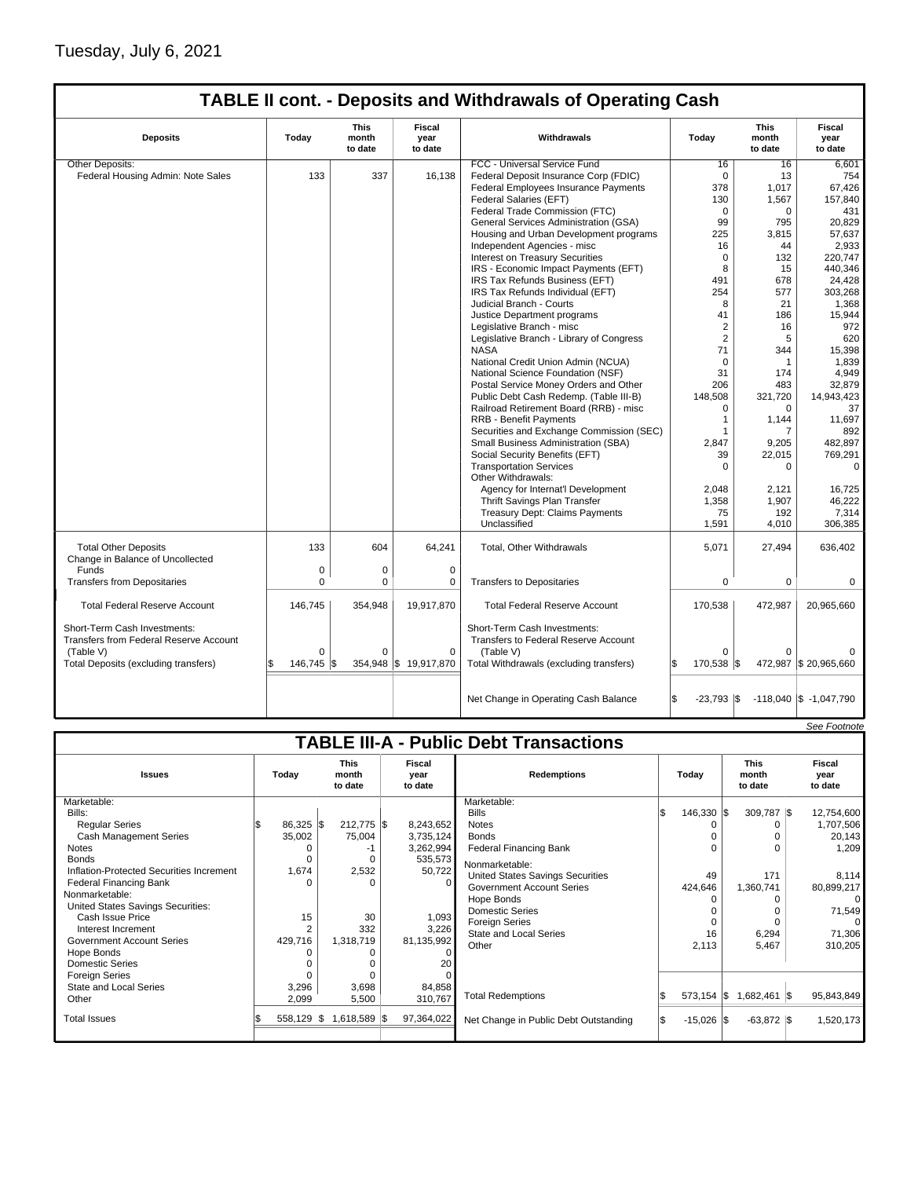## Tuesday, July 6, 2021

## **TABLE II cont. - Deposits and Withdrawals of Operating Cash**

| <b>Deposits</b>                                                        | Todav          | <b>This</b><br>month<br>to date | Fiscal<br>vear<br>to date | Withdrawals                                                                 | Today               | <b>This</b><br>month<br>to date | Fiscal<br>vear<br>to date  |
|------------------------------------------------------------------------|----------------|---------------------------------|---------------------------|-----------------------------------------------------------------------------|---------------------|---------------------------------|----------------------------|
| Other Deposits:                                                        |                |                                 |                           | FCC - Universal Service Fund                                                | 16                  | 16                              | 6,601                      |
| Federal Housing Admin: Note Sales                                      | 133            | 337                             | 16,138                    | Federal Deposit Insurance Corp (FDIC)                                       | $\mathbf 0$         | 13                              | 754                        |
|                                                                        |                |                                 |                           | Federal Employees Insurance Payments                                        | 378                 | 1.017                           | 67.426                     |
|                                                                        |                |                                 |                           | Federal Salaries (EFT)                                                      | 130                 | 1,567                           | 157.840                    |
|                                                                        |                |                                 |                           | Federal Trade Commission (FTC)                                              | $\Omega$            | $\Omega$                        | 431                        |
|                                                                        |                |                                 |                           | General Services Administration (GSA)                                       | 99                  | 795                             | 20.829                     |
|                                                                        |                |                                 |                           | Housing and Urban Development programs                                      | 225                 | 3,815                           | 57,637                     |
|                                                                        |                |                                 |                           | Independent Agencies - misc                                                 | 16                  | 44                              | 2,933                      |
|                                                                        |                |                                 |                           | Interest on Treasury Securities                                             | $\mathbf 0$         | 132                             | 220.747                    |
|                                                                        |                |                                 |                           | IRS - Economic Impact Payments (EFT)                                        | 8                   | 15                              | 440,346                    |
|                                                                        |                |                                 |                           | IRS Tax Refunds Business (EFT)                                              | 491                 | 678                             | 24,428                     |
|                                                                        |                |                                 |                           | IRS Tax Refunds Individual (EFT)                                            | 254                 | 577                             | 303,268                    |
|                                                                        |                |                                 |                           | Judicial Branch - Courts                                                    | 8                   | 21                              | 1,368                      |
|                                                                        |                |                                 |                           | Justice Department programs                                                 | 41                  | 186                             | 15,944                     |
|                                                                        |                |                                 |                           | Legislative Branch - misc                                                   | $\overline{2}$      | 16                              | 972                        |
|                                                                        |                |                                 |                           | Legislative Branch - Library of Congress                                    | $\overline{2}$      | 5                               | 620                        |
|                                                                        |                |                                 |                           | <b>NASA</b>                                                                 | 71                  | 344                             | 15,398                     |
|                                                                        |                |                                 |                           | National Credit Union Admin (NCUA)                                          | $\mathbf 0$         | 1                               | 1,839                      |
|                                                                        |                |                                 |                           | National Science Foundation (NSF)                                           | 31                  | 174                             | 4,949                      |
|                                                                        |                |                                 |                           | Postal Service Money Orders and Other                                       | 206                 | 483                             | 32,879                     |
|                                                                        |                |                                 |                           | Public Debt Cash Redemp. (Table III-B)                                      | 148,508             | 321,720                         | 14,943,423                 |
|                                                                        |                |                                 |                           | Railroad Retirement Board (RRB) - misc                                      | $\Omega$            | $\Omega$                        | 37                         |
|                                                                        |                |                                 |                           | <b>RRB - Benefit Payments</b>                                               | 1                   | 1,144                           | 11,697                     |
|                                                                        |                |                                 |                           | Securities and Exchange Commission (SEC)                                    | 1                   | $\overline{7}$                  | 892                        |
|                                                                        |                |                                 |                           | Small Business Administration (SBA)                                         | 2,847               | 9,205                           | 482,897                    |
|                                                                        |                |                                 |                           | Social Security Benefits (EFT)                                              | 39                  | 22,015                          | 769,291                    |
|                                                                        |                |                                 |                           | <b>Transportation Services</b>                                              | $\mathbf 0$         | $\mathbf 0$                     | $\mathbf 0$                |
|                                                                        |                |                                 |                           | Other Withdrawals:                                                          |                     |                                 |                            |
|                                                                        |                |                                 |                           | Agency for Internat'l Development                                           | 2.048               | 2,121                           | 16,725                     |
|                                                                        |                |                                 |                           | Thrift Savings Plan Transfer                                                | 1,358               | 1,907                           | 46,222                     |
|                                                                        |                |                                 |                           | <b>Treasury Dept: Claims Payments</b>                                       | 75                  | 192                             | 7,314                      |
|                                                                        |                |                                 |                           | Unclassified                                                                | 1,591               | 4,010                           | 306,385                    |
|                                                                        |                |                                 |                           |                                                                             |                     |                                 |                            |
| <b>Total Other Deposits</b><br>Change in Balance of Uncollected        | 133            | 604                             | 64,241                    | Total, Other Withdrawals                                                    | 5,071               | 27,494                          | 636,402                    |
| Funds                                                                  | 0              | 0                               | $\mathbf 0$               |                                                                             |                     |                                 |                            |
| <b>Transfers from Depositaries</b>                                     | $\Omega$       | $\Omega$                        | $\mathbf 0$               | <b>Transfers to Depositaries</b>                                            | 0                   | $\mathbf 0$                     | $\mathbf 0$                |
| <b>Total Federal Reserve Account</b>                                   | 146,745        | 354,948                         | 19,917,870                | <b>Total Federal Reserve Account</b>                                        | 170,538             | 472,987                         | 20,965,660                 |
| Short-Term Cash Investments:<br>Transfers from Federal Reserve Account |                |                                 |                           | Short-Term Cash Investments:<br><b>Transfers to Federal Reserve Account</b> |                     |                                 |                            |
| (Table V)                                                              | $\Omega$       | $\Omega$                        | $\Omega$                  | (Table V)                                                                   | $\Omega$            | $\Omega$                        |                            |
| Total Deposits (excluding transfers)                                   | 146.745<br>\$. |                                 | 354,948 \$19,917,870      | Total Withdrawals (excluding transfers)                                     | l\$<br>170,538 \$   |                                 | 472,987 \$20,965,660       |
|                                                                        |                |                                 |                           | Net Change in Operating Cash Balance                                        | l\$<br>$-23,793$ \$ |                                 | $-118,040$ \$ $-1,047,790$ |

|                                               |             |                |                                 |  |                           |                                         |    |                       |  |                                 |  | See Footnote              |
|-----------------------------------------------|-------------|----------------|---------------------------------|--|---------------------------|-----------------------------------------|----|-----------------------|--|---------------------------------|--|---------------------------|
| <b>TABLE III-A - Public Debt Transactions</b> |             |                |                                 |  |                           |                                         |    |                       |  |                                 |  |                           |
| <b>Issues</b>                                 | Today       |                | <b>This</b><br>month<br>to date |  | Fiscal<br>year<br>to date | <b>Redemptions</b>                      |    | Today                 |  | <b>This</b><br>month<br>to date |  | Fiscal<br>year<br>to date |
| Marketable:                                   |             |                |                                 |  |                           | Marketable:                             |    |                       |  |                                 |  |                           |
| Bills:                                        |             |                |                                 |  |                           | <b>Bills</b>                            | ß. | $146,330$ $\sqrt{\$}$ |  | 309,787 \$                      |  | 12,754,600                |
| <b>Reqular Series</b>                         | $86,325$ \$ |                | 212,775 \$                      |  | 8,243,652                 | <b>Notes</b>                            |    |                       |  |                                 |  | 1,707,506                 |
| <b>Cash Management Series</b>                 | 35,002      |                | 75,004                          |  | 3,735,124                 | <b>Bonds</b>                            |    |                       |  |                                 |  | 20,143                    |
| <b>Notes</b>                                  |             |                | -1                              |  | 3,262,994                 | <b>Federal Financing Bank</b>           |    | $\Omega$              |  | $\Omega$                        |  | 1,209                     |
| <b>Bonds</b>                                  |             |                |                                 |  | 535,573                   | Nonmarketable:                          |    |                       |  |                                 |  |                           |
| Inflation-Protected Securities Increment      | 1,674       |                | 2,532                           |  | 50,722                    | <b>United States Savings Securities</b> |    | 49                    |  | 171                             |  | 8,114                     |
| <b>Federal Financing Bank</b>                 |             |                |                                 |  |                           | <b>Government Account Series</b>        |    | 424,646               |  | 1,360,741                       |  | 80,899,217                |
| Nonmarketable:                                |             |                |                                 |  |                           | Hope Bonds                              |    |                       |  |                                 |  | 0                         |
| United States Savings Securities:             |             |                |                                 |  |                           | <b>Domestic Series</b>                  |    |                       |  |                                 |  | 71,549                    |
| Cash Issue Price                              |             | 15             | 30                              |  | 1,093                     | <b>Foreign Series</b>                   |    |                       |  |                                 |  |                           |
| Interest Increment                            |             | $\overline{2}$ | 332                             |  | 3,226                     | <b>State and Local Series</b>           |    | 16                    |  | 6,294                           |  | 71,306                    |
| <b>Government Account Series</b>              | 429,716     |                | 1,318,719                       |  | 81,135,992                | Other                                   |    | 2,113                 |  | 5,467                           |  | 310,205                   |
| Hope Bonds                                    |             |                |                                 |  |                           |                                         |    |                       |  |                                 |  |                           |
| <b>Domestic Series</b>                        |             |                |                                 |  | 20                        |                                         |    |                       |  |                                 |  |                           |
| <b>Foreign Series</b>                         |             |                |                                 |  |                           |                                         |    |                       |  |                                 |  |                           |
| <b>State and Local Series</b>                 | 3,296       |                | 3,698                           |  | 84,858                    |                                         |    |                       |  |                                 |  |                           |
| Other                                         | 2,099       |                | 5,500                           |  | 310,767                   | <b>Total Redemptions</b>                |    | $573,154$ \\$         |  | 1,682,461 \$                    |  | 95,843,849                |
| <b>Total Issues</b>                           | 558,129 \$  |                | 1,618,589 \$                    |  | 97,364,022                | Net Change in Public Debt Outstanding   |    | $-15,026$ \$          |  | $-63,872$ \$                    |  | 1,520,173                 |
|                                               |             |                |                                 |  |                           |                                         |    |                       |  |                                 |  |                           |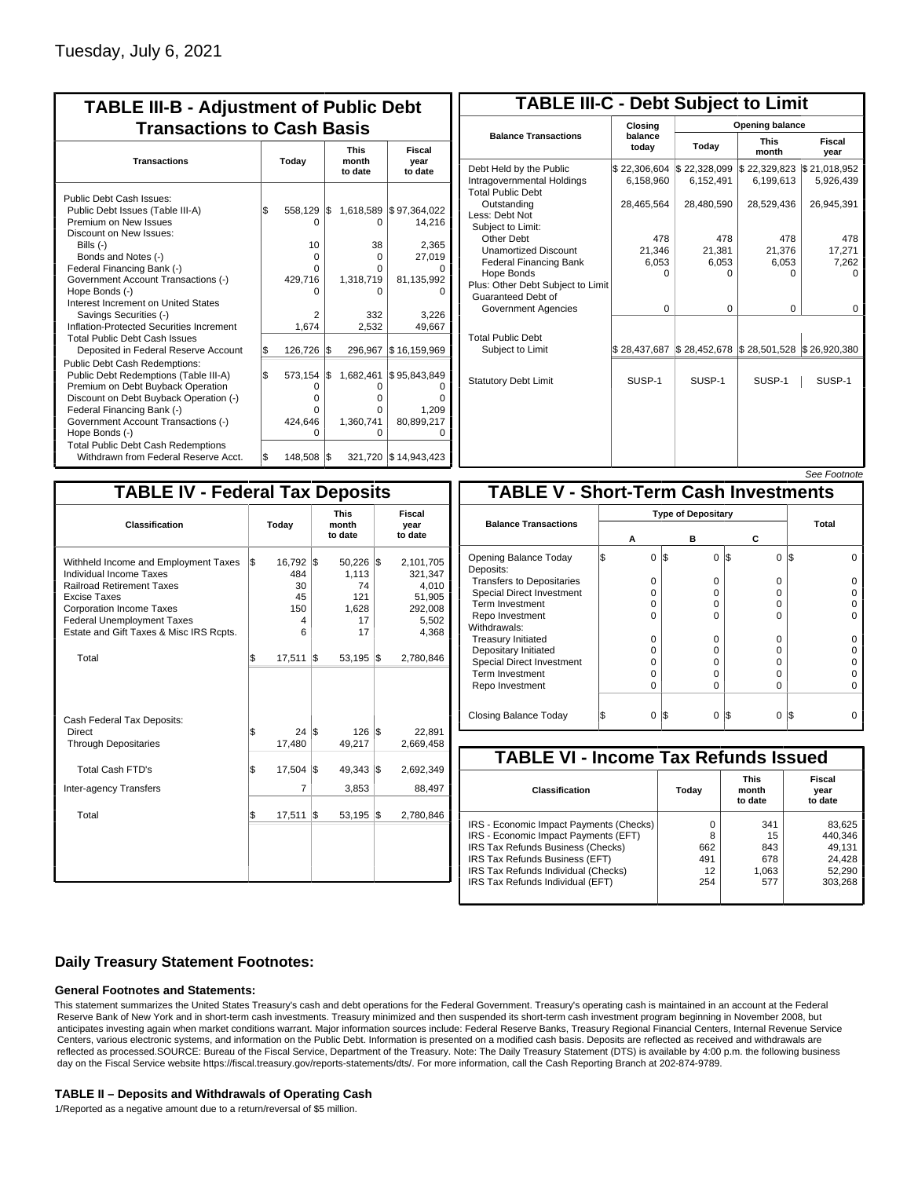| <b>TABLE III-B - Adjustment of Public Debt</b><br><b>Transactions to Cash Basis</b>                                                                                                                                                                                                                                                                                                                |       |                                                                    |     |                                                                  |                                                                            |  |                           |  |  |  |
|----------------------------------------------------------------------------------------------------------------------------------------------------------------------------------------------------------------------------------------------------------------------------------------------------------------------------------------------------------------------------------------------------|-------|--------------------------------------------------------------------|-----|------------------------------------------------------------------|----------------------------------------------------------------------------|--|---------------------------|--|--|--|
| <b>Transactions</b>                                                                                                                                                                                                                                                                                                                                                                                | Today |                                                                    |     |                                                                  | month<br>to date                                                           |  | Fiscal<br>year<br>to date |  |  |  |
| Public Debt Cash Issues:<br>Public Debt Issues (Table III-A)<br>Premium on New Issues<br>Discount on New Issues:<br>Bills $(-)$<br>Bonds and Notes (-)<br>Federal Financing Bank (-)<br>Government Account Transactions (-)<br>Hope Bonds (-)<br>Interest Increment on United States<br>Savings Securities (-)<br>Inflation-Protected Securities Increment<br><b>Total Public Debt Cash Issues</b> | 1\$   | 558,129<br>n<br>10 <sup>1</sup><br>0<br>O<br>429,716<br>2<br>1,674 | I\$ | 1,618,589<br>0<br>38<br>0<br>U<br>1,318,719<br>n<br>332<br>2,532 | \$97,364,022<br>14,216<br>2,365<br>27,019<br>81,135,992<br>3.226<br>49,667 |  |                           |  |  |  |
| Deposited in Federal Reserve Account                                                                                                                                                                                                                                                                                                                                                               | \$    | 126,726                                                            | 1\$ | 296,967                                                          | \$16,159,969                                                               |  |                           |  |  |  |
| Public Debt Cash Redemptions:<br>Public Debt Redemptions (Table III-A)<br>Premium on Debt Buyback Operation<br>Discount on Debt Buyback Operation (-)<br>Federal Financing Bank (-)<br>Government Account Transactions (-)<br>Hope Bonds (-)<br><b>Total Public Debt Cash Redemptions</b>                                                                                                          | l\$   | 573,154<br>0<br>$\Omega$<br>O<br>424,646<br>O                      | l\$ | 1,682,461<br>0<br>o<br>o<br>1,360,741<br>$\Omega$                | \$95,843,849<br>1.209<br>80,899,217                                        |  |                           |  |  |  |
| Withdrawn from Federal Reserve Acct.                                                                                                                                                                                                                                                                                                                                                               | \$    | 148,508                                                            | 1\$ |                                                                  | 321,720 \$14,943,423                                                       |  |                           |  |  |  |

| <b>TABLE III-C - Debt Subject to Limit</b>                                        |                           |                           |                           |                           |  |  |  |  |  |  |
|-----------------------------------------------------------------------------------|---------------------------|---------------------------|---------------------------|---------------------------|--|--|--|--|--|--|
|                                                                                   | Closing                   | Opening balance           |                           |                           |  |  |  |  |  |  |
| <b>Balance Transactions</b>                                                       | balance<br>today          | Today                     | <b>This</b><br>month      | Fiscal<br>year            |  |  |  |  |  |  |
| Debt Held by the Public<br>Intragovernmental Holdings<br><b>Total Public Debt</b> | \$22,306,604<br>6,158,960 | \$22,328,099<br>6,152,491 | \$22,329,823<br>6,199,613 | \$21,018,952<br>5,926,439 |  |  |  |  |  |  |
| Outstanding<br>Less: Debt Not<br>Subject to Limit:                                | 28,465,564                | 28,480,590                | 28,529,436                | 26,945,391                |  |  |  |  |  |  |
| Other Debt                                                                        | 478                       | 478                       | 478                       | 478                       |  |  |  |  |  |  |
| <b>Unamortized Discount</b>                                                       | 21,346                    | 21,381                    | 21,376                    | 17,271                    |  |  |  |  |  |  |
| <b>Federal Financing Bank</b>                                                     | 6,053                     | 6,053                     | 6,053                     | 7,262                     |  |  |  |  |  |  |
| Hope Bonds<br>Plus: Other Debt Subject to Limit<br>Guaranteed Debt of             | $\Omega$                  | O                         | U                         | n                         |  |  |  |  |  |  |
| Government Agencies                                                               | $\Omega$                  | $\Omega$                  | $\Omega$                  | 0                         |  |  |  |  |  |  |
| <b>Total Public Debt</b><br>Subject to Limit                                      | \$28,437,687              | \$28,452,678              | \$28,501,528              | \$26,920,380              |  |  |  |  |  |  |
|                                                                                   |                           |                           |                           |                           |  |  |  |  |  |  |
| <b>Statutory Debt Limit</b>                                                       | SUSP-1                    | SUSP-1                    | SUSP-1                    | SUSP-1                    |  |  |  |  |  |  |
|                                                                                   |                           |                           |                           |                           |  |  |  |  |  |  |

See Footnote

| <b>TABLE IV - Federal Tax Deposits</b>                                                                                                                                                                                                        |    |                                                          |     |                                                   |     |                                                                      |  |  |  |
|-----------------------------------------------------------------------------------------------------------------------------------------------------------------------------------------------------------------------------------------------|----|----------------------------------------------------------|-----|---------------------------------------------------|-----|----------------------------------------------------------------------|--|--|--|
| Classification                                                                                                                                                                                                                                |    | Today                                                    |     | <b>This</b><br>month<br>to date                   |     | Fiscal<br>year<br>to date                                            |  |  |  |
| Withheld Income and Employment Taxes<br>Individual Income Taxes<br><b>Railroad Retirement Taxes</b><br><b>Excise Taxes</b><br><b>Corporation Income Taxes</b><br><b>Federal Unemployment Taxes</b><br>Estate and Gift Taxes & Misc IRS Rcpts. | \$ | 16,792 \$<br>484<br>30<br>45<br>150<br>4<br>6            |     | 50,226<br>1,113<br>74<br>121<br>1,628<br>17<br>17 | 1\$ | 2,101,705<br>321,347<br>4,010<br>51,905<br>292,008<br>5,502<br>4,368 |  |  |  |
| Total                                                                                                                                                                                                                                         | \$ | 17,511                                                   | l\$ | 53,195                                            | 1\$ | 2,780,846                                                            |  |  |  |
| Cash Federal Tax Deposits:<br><b>Direct</b><br><b>Through Depositaries</b>                                                                                                                                                                    | \$ | $24 \text{ }$ $\text{ }$ $\text{ }$ $\text{ }$<br>17,480 |     | 126<br>49,217                                     | l\$ | 22,891<br>2,669,458                                                  |  |  |  |
| <b>Total Cash FTD's</b><br><b>Inter-agency Transfers</b>                                                                                                                                                                                      | \$ | 17,504<br>7                                              | l\$ | 49,343<br>3,853                                   | 1\$ | 2,692,349<br>88,497                                                  |  |  |  |
| Total                                                                                                                                                                                                                                         | \$ | 17,511                                                   | 1\$ | 53,195                                            | 1\$ | 2,780,846                                                            |  |  |  |
|                                                                                                                                                                                                                                               |    |                                                          |     |                                                   |     |                                                                      |  |  |  |

|                                              |   |          |     |          |          | OCC I UUUIUIG |  |  |  |
|----------------------------------------------|---|----------|-----|----------|----------|---------------|--|--|--|
| <b>TABLE V - Short-Term Cash Investments</b> |   |          |     |          |          |               |  |  |  |
|                                              |   |          |     |          |          |               |  |  |  |
| <b>Balance Transactions</b>                  | А |          |     | в        | С        | Total         |  |  |  |
| Opening Balance Today<br>Deposits:           | S | $\Omega$ | 1\$ | $\Omega$ | I\$<br>0 | I\$           |  |  |  |
| <b>Transfers to Depositaries</b>             |   | O        |     | $\Omega$ | O        |               |  |  |  |
| <b>Special Direct Investment</b>             |   | O        |     | 0        | O        |               |  |  |  |
| Term Investment                              |   | O        |     | $\Omega$ | O        |               |  |  |  |
| Repo Investment                              |   | O        |     | $\Omega$ | O        |               |  |  |  |
| Withdrawals:                                 |   |          |     |          |          |               |  |  |  |
| <b>Treasury Initiated</b>                    |   | O        |     | $\Omega$ | O        |               |  |  |  |
| Depositary Initiated                         |   | O        |     | 0        | O        |               |  |  |  |
| <b>Special Direct Investment</b>             |   | Ω        |     | 0        | 0        |               |  |  |  |
| <b>Term Investment</b>                       |   | O        |     | $\Omega$ | O        |               |  |  |  |
| Repo Investment                              |   | 0        |     | $\Omega$ | O        |               |  |  |  |
|                                              |   |          |     |          |          |               |  |  |  |
| Closing Balance Today                        |   | 0        | I\$ | $\Omega$ | I\$<br>0 | I\$           |  |  |  |

| <b>TABLE VI - Income Tax Refunds Issued</b> |       |                                 |                           |  |  |  |  |  |  |  |
|---------------------------------------------|-------|---------------------------------|---------------------------|--|--|--|--|--|--|--|
| Classification                              | Today | <b>This</b><br>month<br>to date | Fiscal<br>year<br>to date |  |  |  |  |  |  |  |
| IRS - Economic Impact Payments (Checks)     | 0     | 341                             | 83,625                    |  |  |  |  |  |  |  |
| IRS - Economic Impact Payments (EFT)        | 8     | 15                              | 440,346                   |  |  |  |  |  |  |  |
| IRS Tax Refunds Business (Checks)           | 662   | 843                             | 49.131                    |  |  |  |  |  |  |  |
| IRS Tax Refunds Business (EFT)              | 491   | 678                             | 24,428                    |  |  |  |  |  |  |  |
| IRS Tax Refunds Individual (Checks)         | 12    | 1.063                           | 52,290                    |  |  |  |  |  |  |  |
| IRS Tax Refunds Individual (EFT)            | 254   | 577                             | 303,268                   |  |  |  |  |  |  |  |

### **Daily Treasury Statement Footnotes:**

### **General Footnotes and Statements:**

This statement summarizes the United States Treasury's cash and debt operations for the Federal Government. Treasury's operating cash is maintained in an account at the Federal Reserve Bank of New York and in short-term cash investments. Treasury minimized and then suspended its short-term cash investment program beginning in November 2008, but anticipates investing again when market conditions warrant. Major information sources include: Federal Reserve Banks, Treasury Regional Financial Centers, Internal Revenue Service Centers, various electronic systems, and information on the Public Debt. Information is presented on a modified cash basis. Deposits are reflected as received and withdrawals are reflected as processed.SOURCE: Bureau of the Fiscal Service, Department of the Treasury. Note: The Daily Treasury Statement (DTS) is available by 4:00 p.m. the following business day on the Fiscal Service website https://fiscal.treasury.gov/reports-statements/dts/. For more information, call the Cash Reporting Branch at 202-874-9789.

#### **TABLE II – Deposits and Withdrawals of Operating Cash**

1/Reported as a negative amount due to a return/reversal of \$5 million.